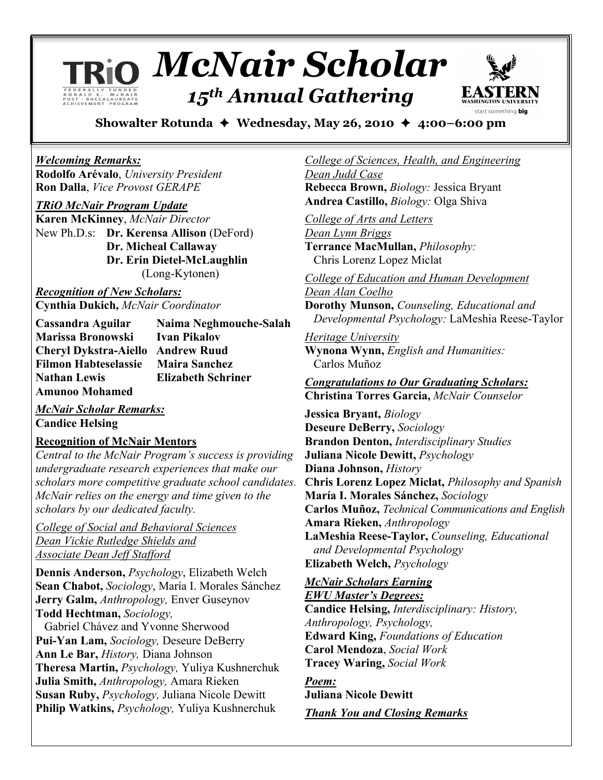# *McNair Scholar 15th Annual Gathering*



**Showalter Rotunda Wednesday, May 26, 2010 4:00–6:00 pm**

### *Welcoming Remarks:*

**Rodolfo Arévalo**, *University President* **Ron Dalla**, *Vice Provost GERAPE*

*TRiO McNair Program Update*

**Karen McKinney**, *McNair Director* New Ph.D.s: **Dr. Kerensa Allison** (DeFord) **Dr. Micheal Callaway Dr. Erin Dietel-McLaughlin** (Long-Kytonen)

*Recognition of New Scholars:* **Cynthia Dukich,** *McNair Coordinator*

**Cassandra Aguilar Naima Neghmouche-Salah Marissa Bronowski Ivan Pikalov Cheryl Dykstra-Aiello Andrew Ruud Filmon Habteselassie Maira Sanchez Nathan Lewis Elizabeth Schriner Amunoo Mohamed**

*McNair Scholar Remarks:* **Candice Helsing**

## **Recognition of McNair Mentors**

*Central to the McNair Program's success is providing undergraduate research experiences that make our scholars more competitive graduate school candidates. McNair relies on the energy and time given to the scholars by our dedicated faculty.*

*College of Social and Behavioral Sciences Dean Vickie Rutledge Shields and Associate Dean Jeff Stafford*

**Dennis Anderson,** *Psychology*, Elizabeth Welch **Sean Chabot,** *Sociology*, María I. Morales Sánchez **Jerry Galm,** *Anthropology,* Enver Guseynov **Todd Hechtman,** *Sociology,*

Gabriel Chávez and Yvonne Sherwood **Pui-Yan Lam,** *Sociology,* Deseure DeBerry **Ann Le Bar,** *History,* Diana Johnson **Theresa Martin,** *Psychology,* Yuliya Kushnerchuk **Julia Smith,** *Anthropology,* Amara Rieken **Susan Ruby,** *Psychology,* Juliana Nicole Dewitt **Philip Watkins,** *Psychology,* Yuliya Kushnerchuk

*College of Sciences, Health, and Engineering Dean Judd Case* **Rebecca Brown,** *Biology:* Jessica Bryant

**Andrea Castillo,** *Biology:* Olga Shiva

*College of Arts and Letters Dean Lynn Briggs* **Terrance MacMullan,** *Philosophy:*

Chris Lorenz Lopez Miclat

*College of Education and Human Development Dean Alan Coelho*

**Dorothy Munson,** *Counseling, Educational and Developmental Psychology:* LaMeshia Reese-Taylor

*Heritage University* **Wynona Wynn,** *English and Humanities:* Carlos Muñoz

*Congratulations to Our Graduating Scholars:* **Christina Torres Garcia,** *McNair Counselor*

**Jessica Bryant,** *Biology* **Deseure DeBerry,** *Sociology* **Brandon Denton,** *Interdisciplinary Studies* **Juliana Nicole Dewitt,** *Psychology* **Diana Johnson,** *History* **Chris Lorenz Lopez Miclat,** *Philosophy and Spanish* **María I. Morales Sánchez,** *Sociology* **Carlos Muñoz,** *Technical Communications and English* **Amara Rieken,** *Anthropology* **LaMeshia Reese-Taylor,** *Counseling, Educational and Developmental Psychology* **Elizabeth Welch,** *Psychology*

*McNair Scholars Earning EWU Master's Degrees:*

**Candice Helsing,** *Interdisciplinary: History, Anthropology, Psychology,*  **Edward King,** *Foundations of Education* **Carol Mendoza**, *Social Work* **Tracey Waring,** *Social Work*

*Poem:* **Juliana Nicole Dewitt** *Thank You and Closing Remarks*